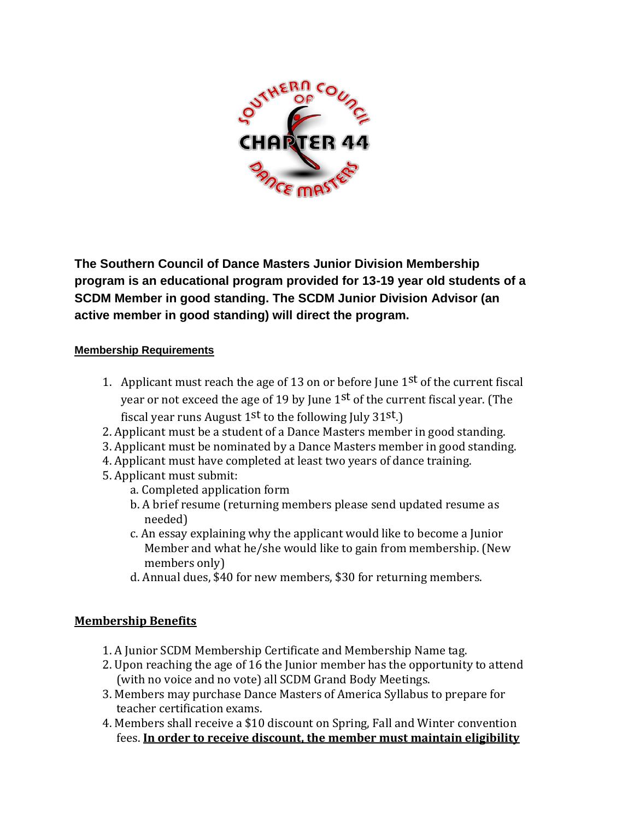

**The Southern Council of Dance Masters Junior Division Membership program is an educational program provided for 13-19 year old students of a SCDM Member in good standing. The SCDM Junior Division Advisor (an active member in good standing) will direct the program.**

#### **Membership Requirements**

- 1. Applicant must reach the age of 13 on or before June  $1<sup>st</sup>$  of the current fiscal year or not exceed the age of 19 by June  $1<sup>st</sup>$  of the current fiscal year. (The fiscal year runs August  $1<sup>st</sup>$  to the following July 31 $<sup>st</sup>$ .)</sup>
- 2. Applicant must be a student of a Dance Masters member in good standing.
- 3. Applicant must be nominated by a Dance Masters member in good standing.
- 4. Applicant must have completed at least two years of dance training.
- 5. Applicant must submit:
	- a. Completed application form
	- b. A brief resume (returning members please send updated resume as needed)
	- c. An essay explaining why the applicant would like to become a Junior Member and what he/she would like to gain from membership. (New members only)
	- d. Annual dues, \$40 for new members, \$30 for returning members.

#### **Membership Benefits**

- 1. A Junior SCDM Membership Certificate and Membership Name tag.
- 2. Upon reaching the age of 16 the Junior member has the opportunity to attend (with no voice and no vote) all SCDM Grand Body Meetings.
- 3. Members may purchase Dance Masters of America Syllabus to prepare for teacher certification exams.
- 4. Members shall receive a \$10 discount on Spring, Fall and Winter convention fees. **In order to receive discount, the member must maintain eligibility**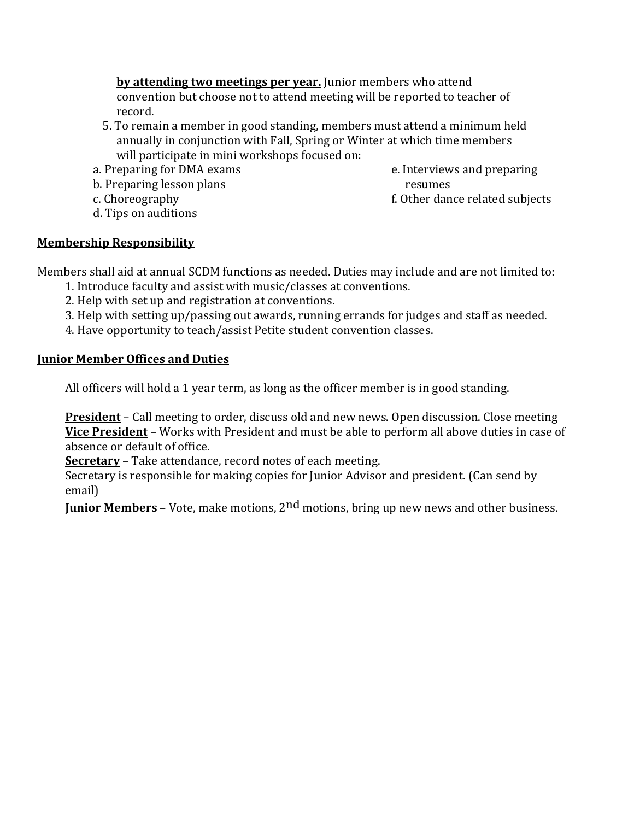**by attending two meetings per year.** Junior members who attend convention but choose not to attend meeting will be reported to teacher of record.

- 5. To remain a member in good standing, members must attend a minimum held annually in conjunction with Fall, Spring or Winter at which time members will participate in mini workshops focused on:
- a. Preparing for DMA exams
- b. Preparing lesson plans
- c. Choreography
- d. Tips on auditions
- e. Interviews and preparing resumes
- f. Other dance related subjects

### **Membership Responsibility**

Members shall aid at annual SCDM functions as needed. Duties may include and are not limited to:

- 1. Introduce faculty and assist with music/classes at conventions.
- 2. Help with set up and registration at conventions.
- 3. Help with setting up/passing out awards, running errands for judges and staff as needed.
- 4. Have opportunity to teach/assist Petite student convention classes.

#### **Junior Member Offices and Duties**

All officers will hold a 1 year term, as long as the officer member is in good standing.

**President** – Call meeting to order, discuss old and new news. Open discussion. Close meeting **Vice President** – Works with President and must be able to perform all above duties in case of absence or default of office.

**Secretary** – Take attendance, record notes of each meeting.

Secretary is responsible for making copies for Junior Advisor and president. (Can send by email)

**Junior Members** – Vote, make motions, 2nd motions, bring up new news and other business.